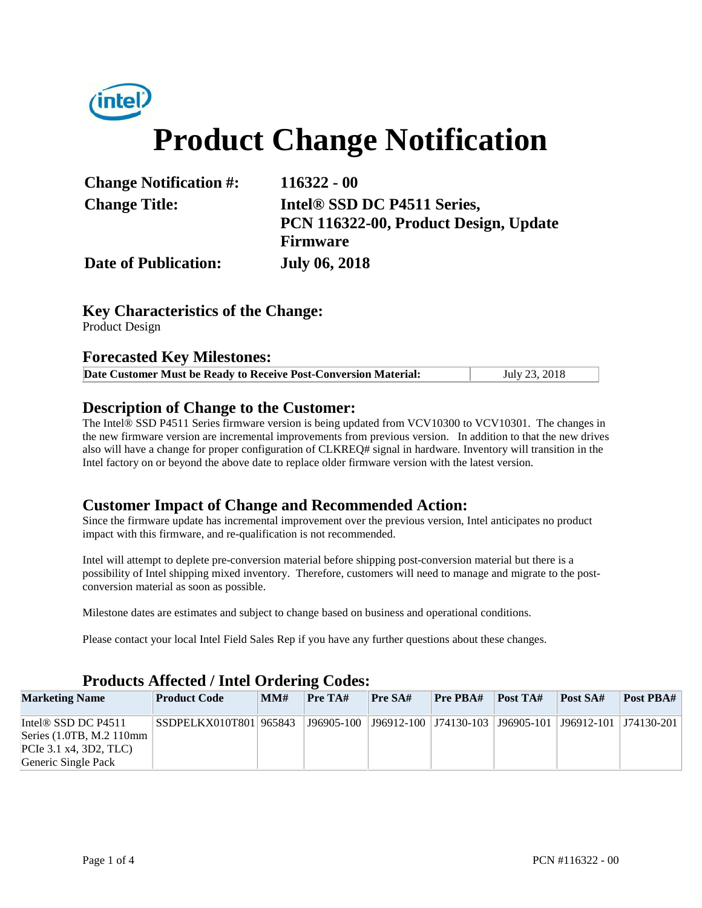

| <b>Change Notification #:</b> | $116322 - 00$                           |  |  |  |  |
|-------------------------------|-----------------------------------------|--|--|--|--|
| <b>Change Title:</b>          | Intel <sup>®</sup> SSD DC P4511 Series, |  |  |  |  |
|                               | PCN 116322-00, Product Design, Update   |  |  |  |  |
|                               | <b>Firmware</b>                         |  |  |  |  |
| <b>Date of Publication:</b>   | <b>July 06, 2018</b>                    |  |  |  |  |

# **Key Characteristics of the Change:**

Product Design

#### **Forecasted Key Milestones:**

| Date Customer Must be Ready to Receive Post-Conversion Material: | July 23, 2018 |
|------------------------------------------------------------------|---------------|
|------------------------------------------------------------------|---------------|

## **Description of Change to the Customer:**

The Intel® SSD P4511 Series firmware version is being updated from VCV10300 to VCV10301. The changes in the new firmware version are incremental improvements from previous version. In addition to that the new drives also will have a change for proper configuration of CLKREQ# signal in hardware. Inventory will transition in the Intel factory on or beyond the above date to replace older firmware version with the latest version.

# **Customer Impact of Change and Recommended Action:**

Since the firmware update has incremental improvement over the previous version, Intel anticipates no product impact with this firmware, and re-qualification is not recommended.

Intel will attempt to deplete pre-conversion material before shipping post-conversion material but there is a possibility of Intel shipping mixed inventory. Therefore, customers will need to manage and migrate to the postconversion material as soon as possible.

Milestone dates are estimates and subject to change based on business and operational conditions.

Please contact your local Intel Field Sales Rep if you have any further questions about these changes.

| <b>Marketing Name</b>                                                                                           | <b>Product Code</b>    | MM# | Pre TA#                                                                     | <b>Pre SA#</b> | Pre PBA# | $\vert$ Post TA# | Post SA# | Post PBA# |
|-----------------------------------------------------------------------------------------------------------------|------------------------|-----|-----------------------------------------------------------------------------|----------------|----------|------------------|----------|-----------|
| Intel <sup>®</sup> SSD DC $P4511$<br>Series (1.0TB, M.2 110mm)<br>PCIe 3.1 x4, 3D2, TLC)<br>Generic Single Pack | SSDPELKX010T801 965843 |     | J96905-100   J96912-100   J74130-103   J96905-101   J96912-101   J74130-201 |                |          |                  |          |           |

## **Products Affected / Intel Ordering Codes:**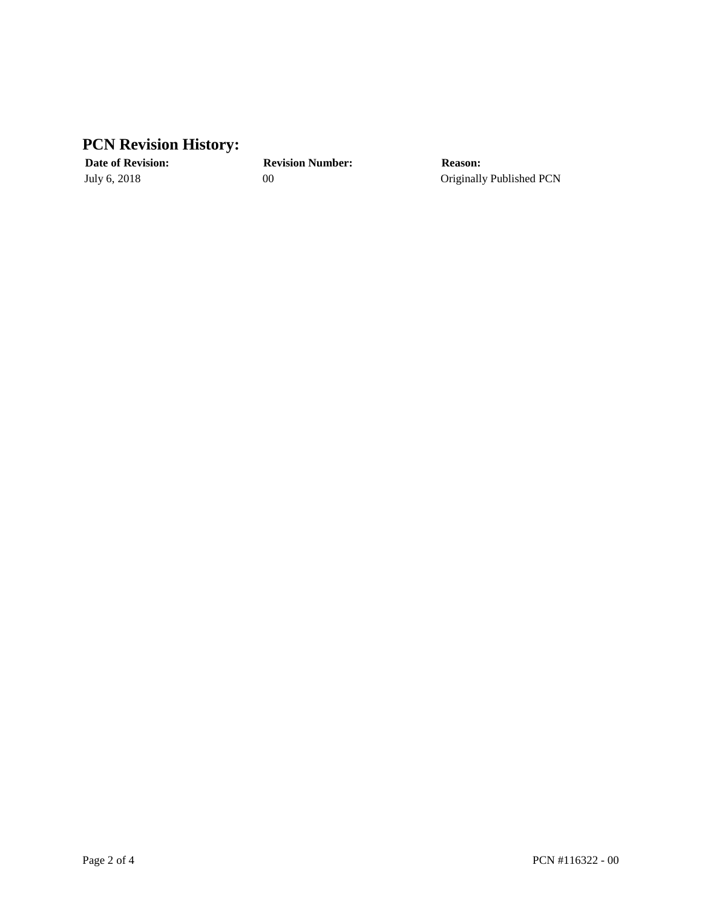# **PCN Revision History:**

**Date of Revision: Revision Number: Reason:**

July 6, 2018 00 Originally Published PCN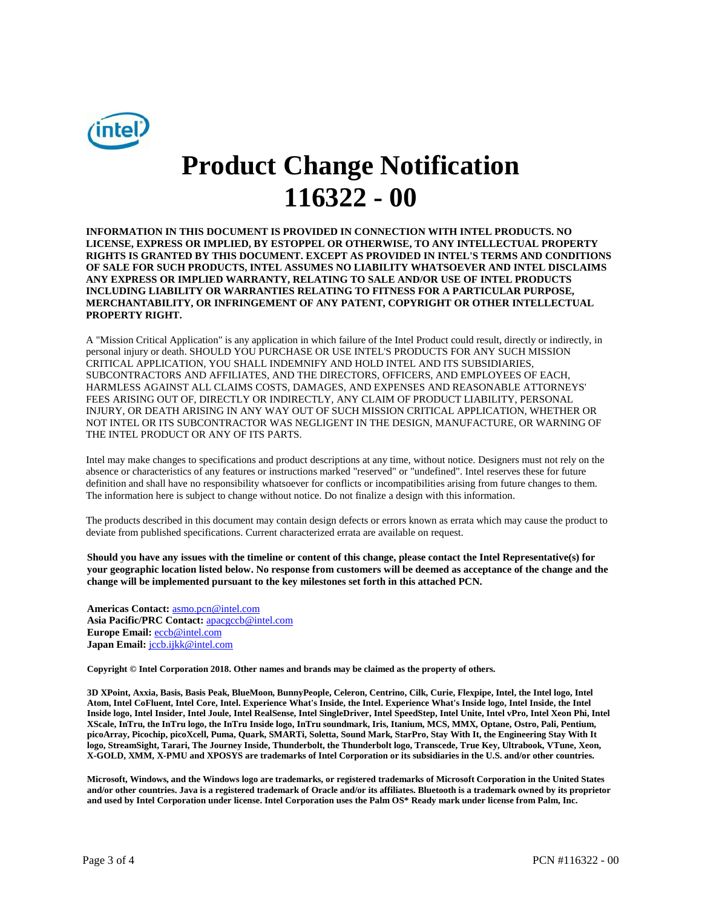

# **Product Change Notification 116322 - 00**

**INFORMATION IN THIS DOCUMENT IS PROVIDED IN CONNECTION WITH INTEL PRODUCTS. NO LICENSE, EXPRESS OR IMPLIED, BY ESTOPPEL OR OTHERWISE, TO ANY INTELLECTUAL PROPERTY RIGHTS IS GRANTED BY THIS DOCUMENT. EXCEPT AS PROVIDED IN INTEL'S TERMS AND CONDITIONS OF SALE FOR SUCH PRODUCTS, INTEL ASSUMES NO LIABILITY WHATSOEVER AND INTEL DISCLAIMS ANY EXPRESS OR IMPLIED WARRANTY, RELATING TO SALE AND/OR USE OF INTEL PRODUCTS INCLUDING LIABILITY OR WARRANTIES RELATING TO FITNESS FOR A PARTICULAR PURPOSE, MERCHANTABILITY, OR INFRINGEMENT OF ANY PATENT, COPYRIGHT OR OTHER INTELLECTUAL PROPERTY RIGHT.** 

A "Mission Critical Application" is any application in which failure of the Intel Product could result, directly or indirectly, in personal injury or death. SHOULD YOU PURCHASE OR USE INTEL'S PRODUCTS FOR ANY SUCH MISSION CRITICAL APPLICATION, YOU SHALL INDEMNIFY AND HOLD INTEL AND ITS SUBSIDIARIES, SUBCONTRACTORS AND AFFILIATES, AND THE DIRECTORS, OFFICERS, AND EMPLOYEES OF EACH, HARMLESS AGAINST ALL CLAIMS COSTS, DAMAGES, AND EXPENSES AND REASONABLE ATTORNEYS' FEES ARISING OUT OF, DIRECTLY OR INDIRECTLY, ANY CLAIM OF PRODUCT LIABILITY, PERSONAL INJURY, OR DEATH ARISING IN ANY WAY OUT OF SUCH MISSION CRITICAL APPLICATION, WHETHER OR NOT INTEL OR ITS SUBCONTRACTOR WAS NEGLIGENT IN THE DESIGN, MANUFACTURE, OR WARNING OF THE INTEL PRODUCT OR ANY OF ITS PARTS.

Intel may make changes to specifications and product descriptions at any time, without notice. Designers must not rely on the absence or characteristics of any features or instructions marked "reserved" or "undefined". Intel reserves these for future definition and shall have no responsibility whatsoever for conflicts or incompatibilities arising from future changes to them. The information here is subject to change without notice. Do not finalize a design with this information.

The products described in this document may contain design defects or errors known as errata which may cause the product to deviate from published specifications. Current characterized errata are available on request.

**Should you have any issues with the timeline or content of this change, please contact the Intel Representative(s) for your geographic location listed below. No response from customers will be deemed as acceptance of the change and the change will be implemented pursuant to the key milestones set forth in this attached PCN.** 

**Americas Contact:** asmo.pcn@intel.com **Asia Pacific/PRC Contact:** apacgccb@intel.com **Europe Email:** eccb@intel.com Japan Email: *jccb.ijkk@intel.com* 

**Copyright © Intel Corporation 2018. Other names and brands may be claimed as the property of others.**

**3D XPoint, Axxia, Basis, Basis Peak, BlueMoon, BunnyPeople, Celeron, Centrino, Cilk, Curie, Flexpipe, Intel, the Intel logo, Intel Atom, Intel CoFluent, Intel Core, Intel. Experience What's Inside, the Intel. Experience What's Inside logo, Intel Inside, the Intel Inside logo, Intel Insider, Intel Joule, Intel RealSense, Intel SingleDriver, Intel SpeedStep, Intel Unite, Intel vPro, Intel Xeon Phi, Intel XScale, InTru, the InTru logo, the InTru Inside logo, InTru soundmark, Iris, Itanium, MCS, MMX, Optane, Ostro, Pali, Pentium, picoArray, Picochip, picoXcell, Puma, Quark, SMARTi, Soletta, Sound Mark, StarPro, Stay With It, the Engineering Stay With It logo, StreamSight, Tarari, The Journey Inside, Thunderbolt, the Thunderbolt logo, Transcede, True Key, Ultrabook, VTune, Xeon, X-GOLD, XMM, X-PMU and XPOSYS are trademarks of Intel Corporation or its subsidiaries in the U.S. and/or other countries.**

**Microsoft, Windows, and the Windows logo are trademarks, or registered trademarks of Microsoft Corporation in the United States and/or other countries. Java is a registered trademark of Oracle and/or its affiliates. Bluetooth is a trademark owned by its proprietor and used by Intel Corporation under license. Intel Corporation uses the Palm OS\* Ready mark under license from Palm, Inc.**